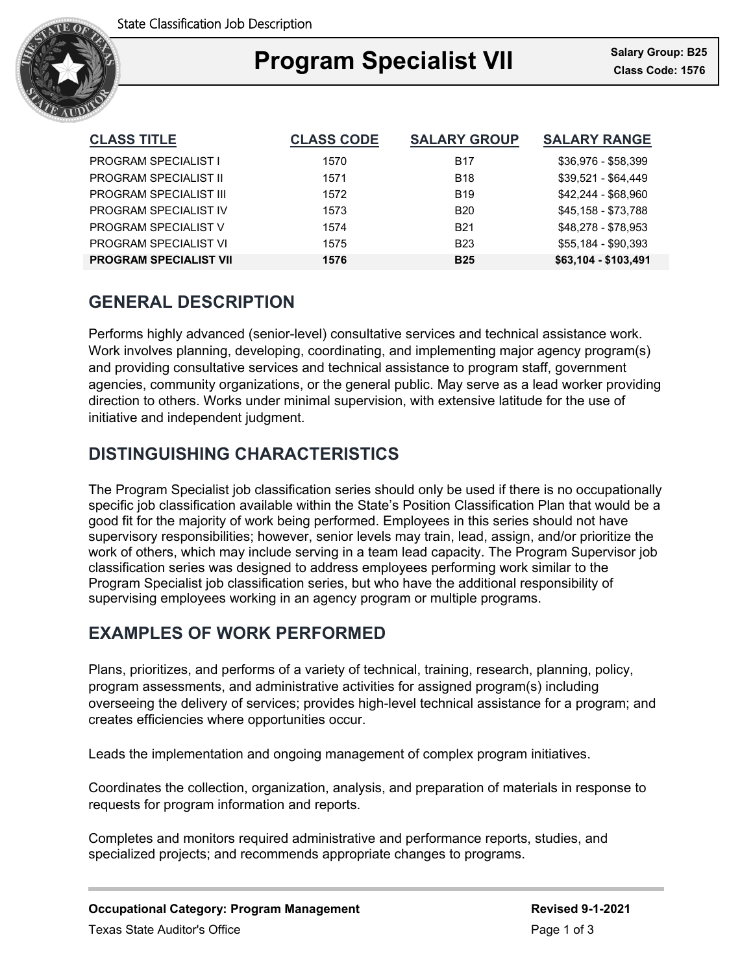

### Ξ **Program Specialist VII Class Code: 1576**

| <b>CLASS TITLE</b>            | <b>CLASS CODE</b> | <b>SALARY GROUP</b> | <b>SALARY RANGE</b>  |
|-------------------------------|-------------------|---------------------|----------------------|
| <b>PROGRAM SPECIALIST I</b>   | 1570              | <b>B17</b>          | \$36,976 - \$58,399  |
| <b>PROGRAM SPECIALIST II</b>  | 1571              | <b>B18</b>          | $$39,521 - $64,449$  |
| <b>PROGRAM SPECIALIST III</b> | 1572              | <b>B19</b>          | \$42.244 - \$68.960  |
| PROGRAM SPECIALIST IV         | 1573              | <b>B20</b>          | \$45,158 - \$73,788  |
| <b>PROGRAM SPECIALIST V</b>   | 1574              | <b>B21</b>          | \$48.278 - \$78.953  |
| PROGRAM SPECIALIST VI         | 1575              | <b>B23</b>          | \$55,184 - \$90,393  |
| <b>PROGRAM SPECIALIST VII</b> | 1576              | <b>B25</b>          | \$63,104 - \$103,491 |

# **GENERAL DESCRIPTION**

Performs highly advanced (senior-level) consultative services and technical assistance work. Work involves planning, developing, coordinating, and implementing major agency program(s) and providing consultative services and technical assistance to program staff, government agencies, community organizations, or the general public. May serve as a lead worker providing direction to others. Works under minimal supervision, with extensive latitude for the use of initiative and independent judgment.

# **DISTINGUISHING CHARACTERISTICS**

The Program Specialist job classification series should only be used if there is no occupationally specific job classification available within the State's Position Classification Plan that would be a good fit for the majority of work being performed. Employees in this series should not have supervisory responsibilities; however, senior levels may train, lead, assign, and/or prioritize the work of others, which may include serving in a team lead capacity. The Program Supervisor job classification series was designed to address employees performing work similar to the Program Specialist job classification series, but who have the additional responsibility of supervising employees working in an agency program or multiple programs.

## **EXAMPLES OF WORK PERFORMED**

Plans, prioritizes, and performs of a variety of technical, training, research, planning, policy, program assessments, and administrative activities for assigned program(s) including overseeing the delivery of services; provides high-level technical assistance for a program; and creates efficiencies where opportunities occur.

Leads the implementation and ongoing management of complex program initiatives.

Coordinates the collection, organization, analysis, and preparation of materials in response to requests for program information and reports.

Completes and monitors required administrative and performance reports, studies, and specialized projects; and recommends appropriate changes to programs.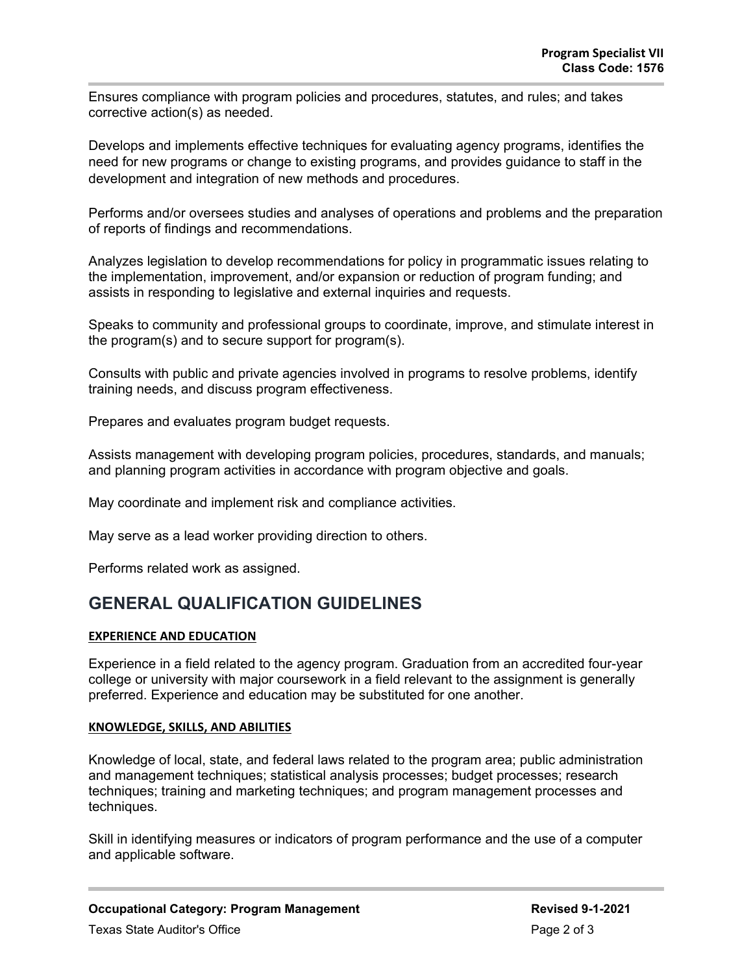Ensures compliance with program policies and procedures, statutes, and rules; and takes corrective action(s) as needed.

Develops and implements effective techniques for evaluating agency programs, identifies the need for new programs or change to existing programs, and provides guidance to staff in the development and integration of new methods and procedures.

Performs and/or oversees studies and analyses of operations and problems and the preparation of reports of findings and recommendations.

Analyzes legislation to develop recommendations for policy in programmatic issues relating to the implementation, improvement, and/or expansion or reduction of program funding; and assists in responding to legislative and external inquiries and requests.

Speaks to community and professional groups to coordinate, improve, and stimulate interest in the program(s) and to secure support for program(s).

Consults with public and private agencies involved in programs to resolve problems, identify training needs, and discuss program effectiveness.

Prepares and evaluates program budget requests.

Assists management with developing program policies, procedures, standards, and manuals; and planning program activities in accordance with program objective and goals.

May coordinate and implement risk and compliance activities.

May serve as a lead worker providing direction to others.

Performs related work as assigned.

### **GENERAL QUALIFICATION GUIDELINES**

### **EXPERIENCE AND EDUCATION**

Experience in a field related to the agency program. Graduation from an accredited four-year college or university with major coursework in a field relevant to the assignment is generally preferred. Experience and education may be substituted for one another.

### **KNOWLEDGE, SKILLS, AND ABILITIES**

Knowledge of local, state, and federal laws related to the program area; public administration and management techniques; statistical analysis processes; budget processes; research techniques; training and marketing techniques; and program management processes and techniques.

Skill in identifying measures or indicators of program performance and the use of a computer and applicable software.